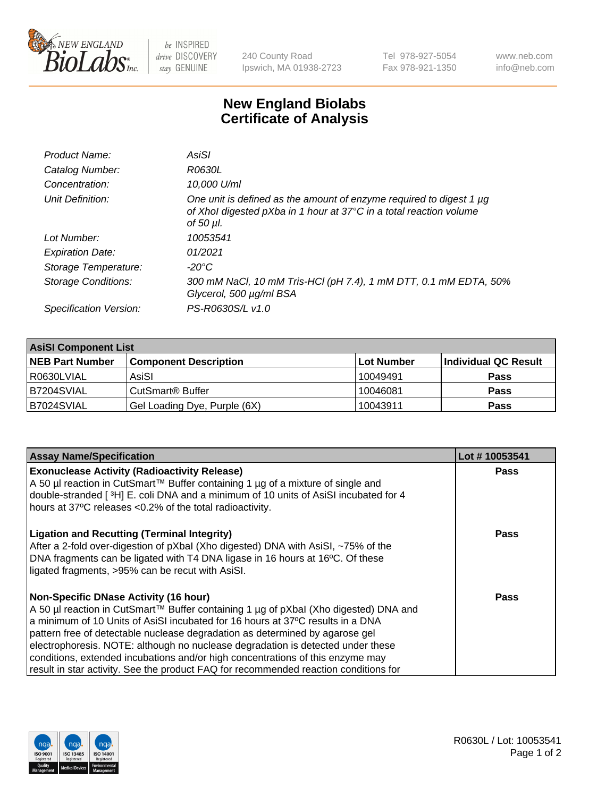

 $be$  INSPIRED drive DISCOVERY stay GENUINE

240 County Road Ipswich, MA 01938-2723 Tel 978-927-5054 Fax 978-921-1350 www.neb.com info@neb.com

## **New England Biolabs Certificate of Analysis**

| Product Name:              | AsiSI                                                                                                                                                  |
|----------------------------|--------------------------------------------------------------------------------------------------------------------------------------------------------|
| Catalog Number:            | R0630L                                                                                                                                                 |
| Concentration:             | 10,000 U/ml                                                                                                                                            |
| Unit Definition:           | One unit is defined as the amount of enzyme required to digest 1 µg<br>of Xhol digested pXba in 1 hour at 37°C in a total reaction volume<br>of 50 µl. |
| Lot Number:                | 10053541                                                                                                                                               |
| <b>Expiration Date:</b>    | 01/2021                                                                                                                                                |
| Storage Temperature:       | $-20^{\circ}$ C                                                                                                                                        |
| <b>Storage Conditions:</b> | 300 mM NaCl, 10 mM Tris-HCl (pH 7.4), 1 mM DTT, 0.1 mM EDTA, 50%<br>Glycerol, 500 µg/ml BSA                                                            |
| Specification Version:     | PS-R0630S/L v1.0                                                                                                                                       |

| <b>AsiSI Component List</b> |                              |            |                      |  |  |
|-----------------------------|------------------------------|------------|----------------------|--|--|
| <b>NEB Part Number</b>      | <b>Component Description</b> | Lot Number | Individual QC Result |  |  |
| R0630LVIAL                  | AsiSI                        | 10049491   | <b>Pass</b>          |  |  |
| B7204SVIAL                  | CutSmart <sup>®</sup> Buffer | 10046081   | <b>Pass</b>          |  |  |
| B7024SVIAL                  | Gel Loading Dye, Purple (6X) | 10043911   | <b>Pass</b>          |  |  |

| <b>Assay Name/Specification</b>                                                                                                                 | Lot #10053541 |
|-------------------------------------------------------------------------------------------------------------------------------------------------|---------------|
| <b>Exonuclease Activity (Radioactivity Release)</b><br>A 50 µl reaction in CutSmart™ Buffer containing 1 µg of a mixture of single and          | Pass          |
| double-stranded [3H] E. coli DNA and a minimum of 10 units of AsiSI incubated for 4<br>hours at 37°C releases <0.2% of the total radioactivity. |               |
|                                                                                                                                                 |               |
| <b>Ligation and Recutting (Terminal Integrity)</b><br>After a 2-fold over-digestion of pXbal (Xho digested) DNA with AsiSI, ~75% of the         | Pass          |
| DNA fragments can be ligated with T4 DNA ligase in 16 hours at 16°C. Of these<br>ligated fragments, >95% can be recut with AsiSI.               |               |
| <b>Non-Specific DNase Activity (16 hour)</b>                                                                                                    | Pass          |
| A 50 µl reaction in CutSmart™ Buffer containing 1 µg of pXbal (Xho digested) DNA and                                                            |               |
| a minimum of 10 Units of AsiSI incubated for 16 hours at 37°C results in a DNA                                                                  |               |
| pattern free of detectable nuclease degradation as determined by agarose gel                                                                    |               |
| electrophoresis. NOTE: although no nuclease degradation is detected under these                                                                 |               |
| conditions, extended incubations and/or high concentrations of this enzyme may                                                                  |               |
| result in star activity. See the product FAQ for recommended reaction conditions for                                                            |               |